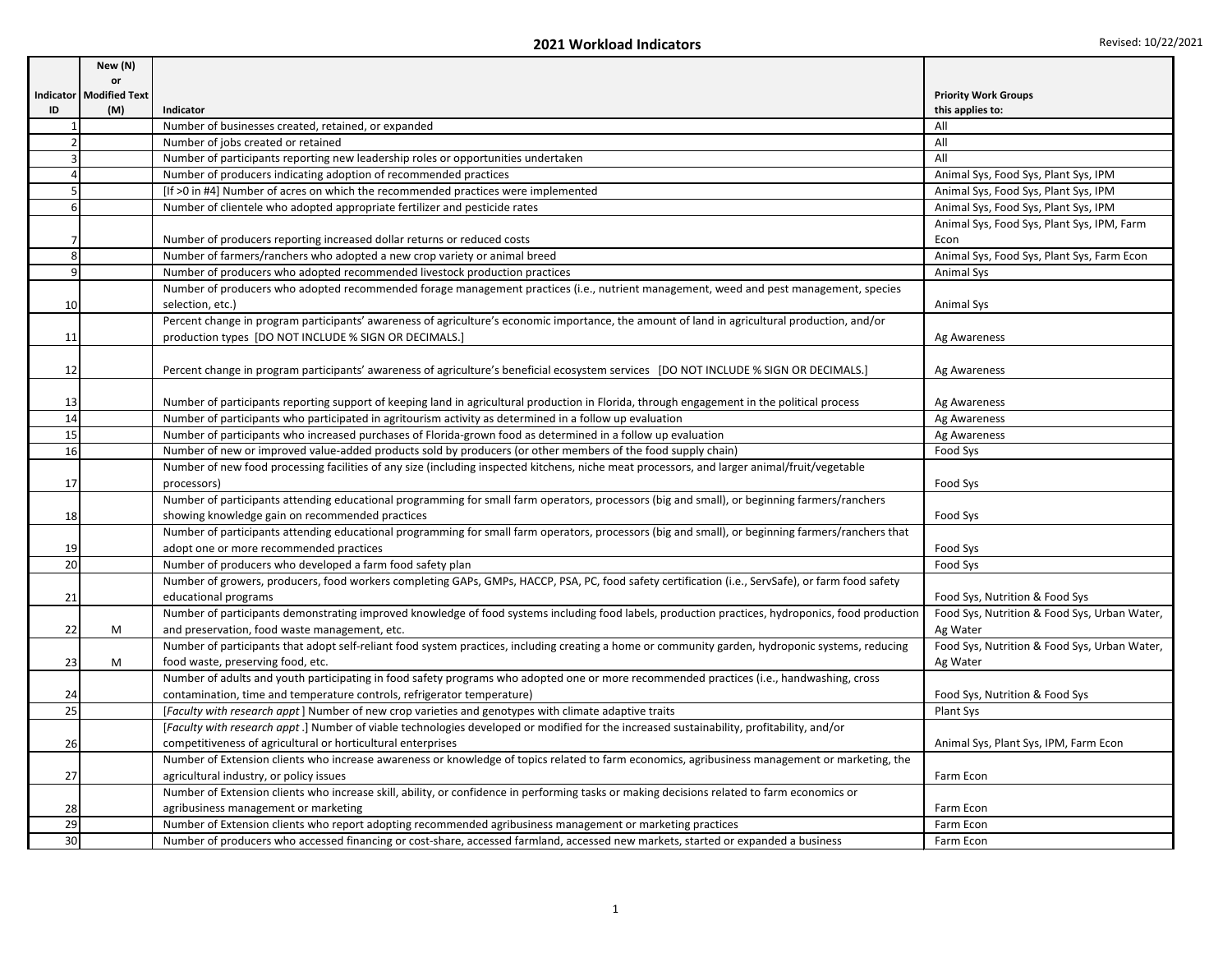|    | New (N)                   |                                                                                                                                                   |                                              |
|----|---------------------------|---------------------------------------------------------------------------------------------------------------------------------------------------|----------------------------------------------|
|    | <b>or</b>                 |                                                                                                                                                   |                                              |
|    | Indicator   Modified Text |                                                                                                                                                   | <b>Priority Work Groups</b>                  |
| ID | (M)                       | Indicator                                                                                                                                         | this applies to:                             |
|    |                           | Number of businesses created, retained, or expanded                                                                                               | All                                          |
|    |                           | Number of jobs created or retained                                                                                                                | All                                          |
|    |                           | Number of participants reporting new leadership roles or opportunities undertaken                                                                 | All                                          |
|    |                           | Number of producers indicating adoption of recommended practices                                                                                  | Animal Sys, Food Sys, Plant Sys, IPM         |
|    |                           | [If >0 in #4] Number of acres on which the recommended practices were implemented                                                                 | Animal Sys, Food Sys, Plant Sys, IPM         |
|    |                           | Number of clientele who adopted appropriate fertilizer and pesticide rates                                                                        | Animal Sys, Food Sys, Plant Sys, IPM         |
|    |                           |                                                                                                                                                   | Animal Sys, Food Sys, Plant Sys, IPM, Farm   |
|    |                           | Number of producers reporting increased dollar returns or reduced costs                                                                           | Econ                                         |
|    |                           | Number of farmers/ranchers who adopted a new crop variety or animal breed                                                                         | Animal Sys, Food Sys, Plant Sys, Farm Econ   |
|    |                           | Number of producers who adopted recommended livestock production practices                                                                        | Animal Sys                                   |
|    |                           | Number of producers who adopted recommended forage management practices (i.e., nutrient management, weed and pest management, species             |                                              |
| 10 |                           | selection, etc.)                                                                                                                                  | <b>Animal Sys</b>                            |
|    |                           | Percent change in program participants' awareness of agriculture's economic importance, the amount of land in agricultural production, and/or     |                                              |
| 11 |                           | production types [DO NOT INCLUDE % SIGN OR DECIMALS.]                                                                                             | Ag Awareness                                 |
|    |                           |                                                                                                                                                   |                                              |
| 12 |                           | Percent change in program participants' awareness of agriculture's beneficial ecosystem services [DO NOT INCLUDE % SIGN OR DECIMALS.]             | Ag Awareness                                 |
|    |                           |                                                                                                                                                   |                                              |
| 13 |                           | Number of participants reporting support of keeping land in agricultural production in Florida, through engagement in the political process       | Ag Awareness                                 |
| 14 |                           | Number of participants who participated in agritourism activity as determined in a follow up evaluation                                           | Ag Awareness                                 |
| 15 |                           | Number of participants who increased purchases of Florida-grown food as determined in a follow up evaluation                                      | Ag Awareness                                 |
| 16 |                           | Number of new or improved value-added products sold by producers (or other members of the food supply chain)                                      | Food Sys                                     |
|    |                           | Number of new food processing facilities of any size (including inspected kitchens, niche meat processors, and larger animal/fruit/vegetable      |                                              |
| 17 |                           | processors)                                                                                                                                       | Food Sys                                     |
|    |                           | Number of participants attending educational programming for small farm operators, processors (big and small), or beginning farmers/ranchers      |                                              |
| 18 |                           | showing knowledge gain on recommended practices                                                                                                   | Food Sys                                     |
|    |                           | Number of participants attending educational programming for small farm operators, processors (big and small), or beginning farmers/ranchers that |                                              |
| 19 |                           | adopt one or more recommended practices                                                                                                           | Food Sys                                     |
| 20 |                           | Number of producers who developed a farm food safety plan                                                                                         | Food Sys                                     |
|    |                           | Number of growers, producers, food workers completing GAPs, GMPs, HACCP, PSA, PC, food safety certification (i.e., ServSafe), or farm food safety |                                              |
| 21 |                           | educational programs                                                                                                                              | Food Sys, Nutrition & Food Sys               |
|    |                           | Number of participants demonstrating improved knowledge of food systems including food labels, production practices, hydroponics, food production | Food Sys, Nutrition & Food Sys, Urban Water, |
| 22 | M                         | and preservation, food waste management, etc.                                                                                                     | Ag Water                                     |
|    |                           | Number of participants that adopt self-reliant food system practices, including creating a home or community garden, hydroponic systems, reducing | Food Sys, Nutrition & Food Sys, Urban Water, |
| 23 | M                         | food waste, preserving food, etc.                                                                                                                 | Ag Water                                     |
|    |                           | Number of adults and youth participating in food safety programs who adopted one or more recommended practices (i.e., handwashing, cross          |                                              |
| 24 |                           | contamination, time and temperature controls, refrigerator temperature)                                                                           | Food Sys, Nutrition & Food Sys               |
| 25 |                           | [Faculty with research appt] Number of new crop varieties and genotypes with climate adaptive traits                                              | <b>Plant Sys</b>                             |
|    |                           | [Faculty with research appt.] Number of viable technologies developed or modified for the increased sustainability, profitability, and/or         |                                              |
| 26 |                           | competitiveness of agricultural or horticultural enterprises                                                                                      | Animal Sys, Plant Sys, IPM, Farm Econ        |
|    |                           | Number of Extension clients who increase awareness or knowledge of topics related to farm economics, agribusiness management or marketing, the    |                                              |
| 27 |                           | agricultural industry, or policy issues                                                                                                           | Farm Econ                                    |
|    |                           | Number of Extension clients who increase skill, ability, or confidence in performing tasks or making decisions related to farm economics or       |                                              |
| 28 |                           | agribusiness management or marketing                                                                                                              | Farm Econ                                    |
| 29 |                           | Number of Extension clients who report adopting recommended agribusiness management or marketing practices                                        | Farm Econ                                    |
| 30 |                           | Number of producers who accessed financing or cost-share, accessed farmland, accessed new markets, started or expanded a business                 | Farm Econ                                    |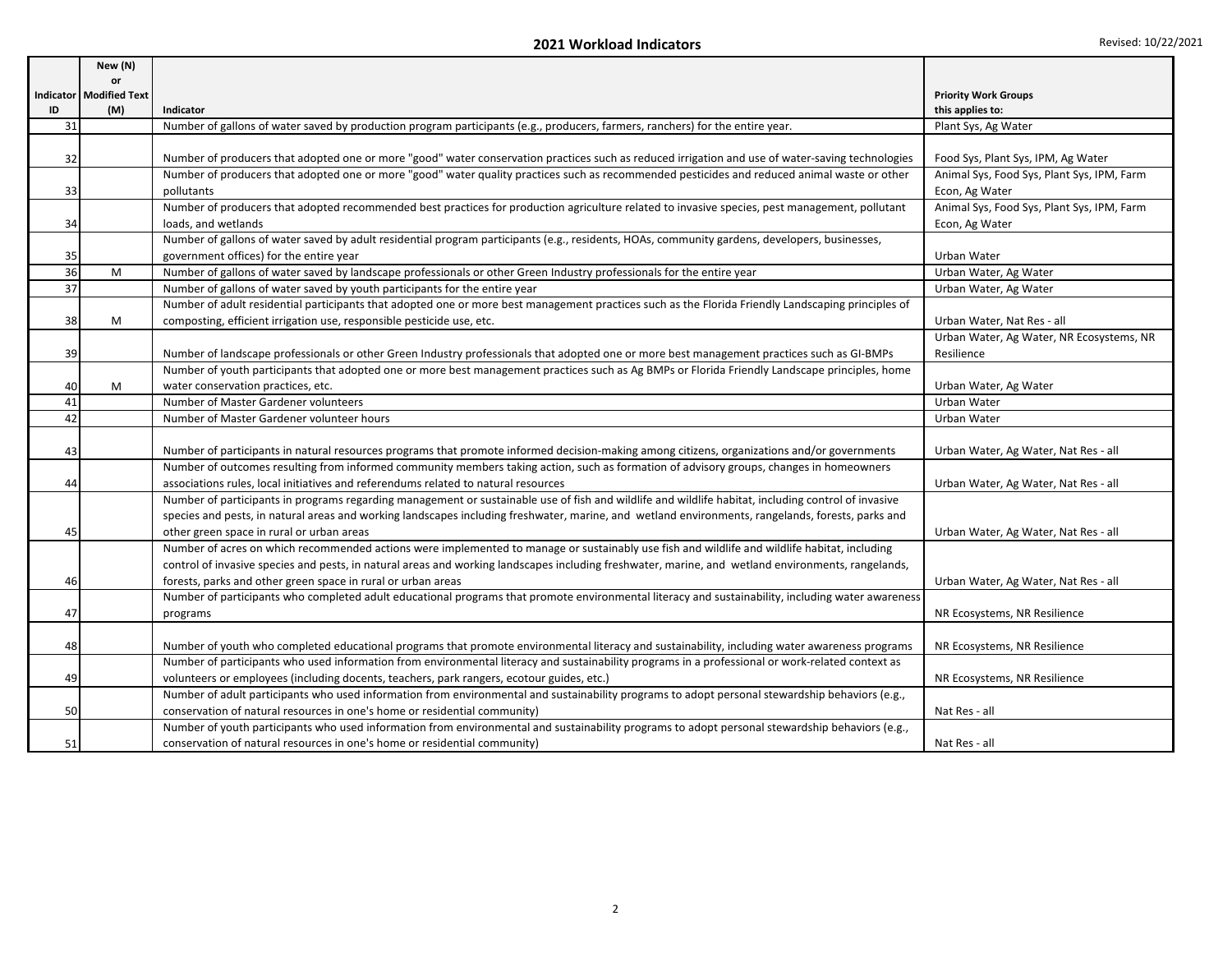|          | New (N)                   |                                                                                                                                                                                                                                           |                                            |
|----------|---------------------------|-------------------------------------------------------------------------------------------------------------------------------------------------------------------------------------------------------------------------------------------|--------------------------------------------|
|          | or                        |                                                                                                                                                                                                                                           |                                            |
|          | Indicator   Modified Text |                                                                                                                                                                                                                                           | <b>Priority Work Groups</b>                |
| ID<br>31 | (M)                       | Indicator                                                                                                                                                                                                                                 | this applies to:                           |
|          |                           | Number of gallons of water saved by production program participants (e.g., producers, farmers, ranchers) for the entire year.                                                                                                             | Plant Sys, Ag Water                        |
| 32       |                           | Number of producers that adopted one or more "good" water conservation practices such as reduced irrigation and use of water-saving technologies                                                                                          | Food Sys, Plant Sys, IPM, Ag Water         |
|          |                           | Number of producers that adopted one or more "good" water quality practices such as recommended pesticides and reduced animal waste or other                                                                                              | Animal Sys, Food Sys, Plant Sys, IPM, Farm |
| 33       |                           | pollutants                                                                                                                                                                                                                                | Econ, Ag Water                             |
|          |                           | Number of producers that adopted recommended best practices for production agriculture related to invasive species, pest management, pollutant                                                                                            | Animal Sys, Food Sys, Plant Sys, IPM, Farm |
| 34       |                           | loads, and wetlands                                                                                                                                                                                                                       | Econ, Ag Water                             |
|          |                           | Number of gallons of water saved by adult residential program participants (e.g., residents, HOAs, community gardens, developers, businesses,                                                                                             |                                            |
| 35       |                           | government offices) for the entire year                                                                                                                                                                                                   | Urban Water                                |
| 36       | M                         | Number of gallons of water saved by landscape professionals or other Green Industry professionals for the entire year                                                                                                                     | Urban Water, Ag Water                      |
| 37       |                           | Number of gallons of water saved by youth participants for the entire year                                                                                                                                                                | Urban Water, Ag Water                      |
|          |                           | Number of adult residential participants that adopted one or more best management practices such as the Florida Friendly Landscaping principles of                                                                                        |                                            |
| 38       | M                         | composting, efficient irrigation use, responsible pesticide use, etc.                                                                                                                                                                     | Urban Water, Nat Res - all                 |
|          |                           |                                                                                                                                                                                                                                           | Urban Water, Ag Water, NR Ecosystems, NR   |
| 39       |                           | Number of landscape professionals or other Green Industry professionals that adopted one or more best management practices such as GI-BMPs                                                                                                | Resilience                                 |
|          |                           | Number of youth participants that adopted one or more best management practices such as Ag BMPs or Florida Friendly Landscape principles, home                                                                                            |                                            |
| 40       | M                         | water conservation practices, etc.                                                                                                                                                                                                        | Urban Water, Ag Water                      |
| 41       |                           | Number of Master Gardener volunteers                                                                                                                                                                                                      | Urban Water                                |
| 42       |                           | Number of Master Gardener volunteer hours                                                                                                                                                                                                 | Urban Water                                |
|          |                           |                                                                                                                                                                                                                                           |                                            |
| 43       |                           | Number of participants in natural resources programs that promote informed decision-making among citizens, organizations and/or governments                                                                                               | Urban Water, Ag Water, Nat Res - all       |
|          |                           | Number of outcomes resulting from informed community members taking action, such as formation of advisory groups, changes in homeowners                                                                                                   |                                            |
| 44       |                           | associations rules, local initiatives and referendums related to natural resources<br>Number of participants in programs regarding management or sustainable use of fish and wildlife and wildlife habitat, including control of invasive | Urban Water, Ag Water, Nat Res - all       |
|          |                           |                                                                                                                                                                                                                                           |                                            |
|          |                           | species and pests, in natural areas and working landscapes including freshwater, marine, and wetland environments, rangelands, forests, parks and<br>other green space in rural or urban areas                                            |                                            |
| 45       |                           | Number of acres on which recommended actions were implemented to manage or sustainably use fish and wildlife and wildlife habitat, including                                                                                              | Urban Water, Ag Water, Nat Res - all       |
|          |                           | control of invasive species and pests, in natural areas and working landscapes including freshwater, marine, and wetland environments, rangelands,                                                                                        |                                            |
| 46       |                           | forests, parks and other green space in rural or urban areas                                                                                                                                                                              | Urban Water, Ag Water, Nat Res - all       |
|          |                           | Number of participants who completed adult educational programs that promote environmental literacy and sustainability, including water awareness                                                                                         |                                            |
| 47       |                           | programs                                                                                                                                                                                                                                  | NR Ecosystems, NR Resilience               |
|          |                           |                                                                                                                                                                                                                                           |                                            |
| 48       |                           | Number of youth who completed educational programs that promote environmental literacy and sustainability, including water awareness programs                                                                                             | NR Ecosystems, NR Resilience               |
|          |                           | Number of participants who used information from environmental literacy and sustainability programs in a professional or work-related context as                                                                                          |                                            |
| 49       |                           | volunteers or employees (including docents, teachers, park rangers, ecotour guides, etc.)                                                                                                                                                 | NR Ecosystems, NR Resilience               |
|          |                           | Number of adult participants who used information from environmental and sustainability programs to adopt personal stewardship behaviors (e.g.,                                                                                           |                                            |
| 50       |                           | conservation of natural resources in one's home or residential community)                                                                                                                                                                 | Nat Res - all                              |
|          |                           | Number of youth participants who used information from environmental and sustainability programs to adopt personal stewardship behaviors (e.g.,                                                                                           |                                            |
| 51       |                           | conservation of natural resources in one's home or residential community)                                                                                                                                                                 | Nat Res - all                              |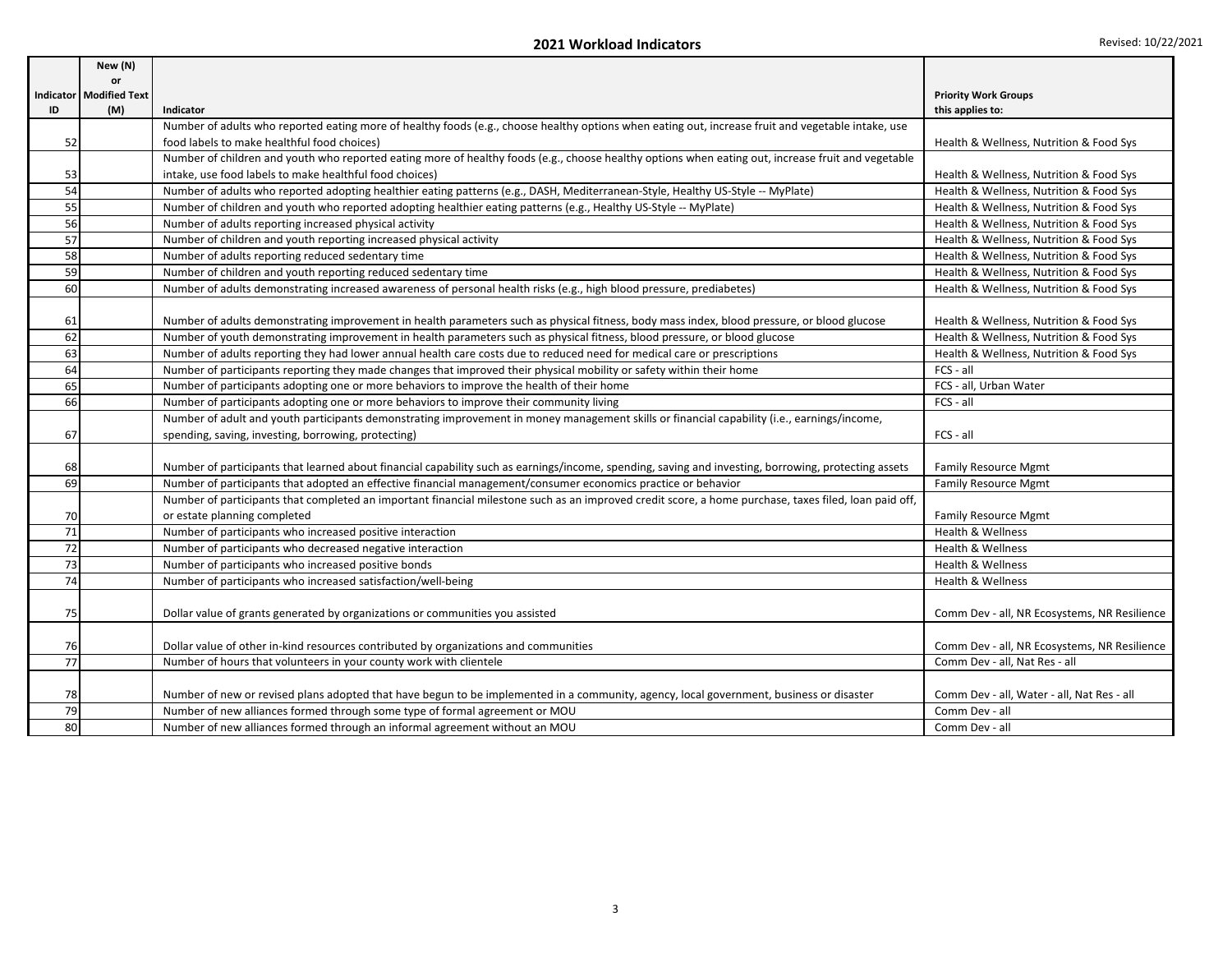|    | New (N)                   |                                                                                                                                                       |                                              |
|----|---------------------------|-------------------------------------------------------------------------------------------------------------------------------------------------------|----------------------------------------------|
|    | <b>or</b>                 |                                                                                                                                                       |                                              |
|    | Indicator   Modified Text |                                                                                                                                                       | <b>Priority Work Groups</b>                  |
| ID | (M)                       | Indicator                                                                                                                                             | this applies to:                             |
|    |                           | Number of adults who reported eating more of healthy foods (e.g., choose healthy options when eating out, increase fruit and vegetable intake, use    |                                              |
| 52 |                           | food labels to make healthful food choices)                                                                                                           | Health & Wellness, Nutrition & Food Sys      |
|    |                           | Number of children and youth who reported eating more of healthy foods (e.g., choose healthy options when eating out, increase fruit and vegetable    |                                              |
| 53 |                           | intake, use food labels to make healthful food choices)                                                                                               | Health & Wellness, Nutrition & Food Sys      |
| 54 |                           | Number of adults who reported adopting healthier eating patterns (e.g., DASH, Mediterranean-Style, Healthy US-Style -- MyPlate)                       | Health & Wellness, Nutrition & Food Sys      |
| 55 |                           | Number of children and youth who reported adopting healthier eating patterns (e.g., Healthy US-Style -- MyPlate)                                      | Health & Wellness, Nutrition & Food Sys      |
| 56 |                           | Number of adults reporting increased physical activity                                                                                                | Health & Wellness, Nutrition & Food Sys      |
| 57 |                           | Number of children and youth reporting increased physical activity                                                                                    | Health & Wellness, Nutrition & Food Sys      |
| 58 |                           | Number of adults reporting reduced sedentary time                                                                                                     | Health & Wellness, Nutrition & Food Sys      |
| 59 |                           | Number of children and youth reporting reduced sedentary time                                                                                         | Health & Wellness, Nutrition & Food Sys      |
| 60 |                           | Number of adults demonstrating increased awareness of personal health risks (e.g., high blood pressure, prediabetes)                                  | Health & Wellness, Nutrition & Food Sys      |
|    |                           |                                                                                                                                                       |                                              |
| 61 |                           | Number of adults demonstrating improvement in health parameters such as physical fitness, body mass index, blood pressure, or blood glucose           | Health & Wellness, Nutrition & Food Sys      |
| 62 |                           | Number of youth demonstrating improvement in health parameters such as physical fitness, blood pressure, or blood glucose                             | Health & Wellness, Nutrition & Food Sys      |
| 63 |                           | Number of adults reporting they had lower annual health care costs due to reduced need for medical care or prescriptions                              | Health & Wellness, Nutrition & Food Sys      |
| 64 |                           | Number of participants reporting they made changes that improved their physical mobility or safety within their home                                  | FCS - all                                    |
| 65 |                           | Number of participants adopting one or more behaviors to improve the health of their home                                                             | FCS - all, Urban Water                       |
| 66 |                           | Number of participants adopting one or more behaviors to improve their community living                                                               | FCS - all                                    |
|    |                           | Number of adult and youth participants demonstrating improvement in money management skills or financial capability (i.e., earnings/income,           |                                              |
| 67 |                           | spending, saving, investing, borrowing, protecting)                                                                                                   | FCS - all                                    |
|    |                           |                                                                                                                                                       |                                              |
| 68 |                           | Number of participants that learned about financial capability such as earnings/income, spending, saving and investing, borrowing, protecting assets  | <b>Family Resource Mgmt</b>                  |
| 69 |                           | Number of participants that adopted an effective financial management/consumer economics practice or behavior                                         | <b>Family Resource Mgmt</b>                  |
|    |                           | Number of participants that completed an important financial milestone such as an improved credit score, a home purchase, taxes filed, loan paid off, |                                              |
| 70 |                           | or estate planning completed                                                                                                                          | <b>Family Resource Mgmt</b>                  |
| 71 |                           | Number of participants who increased positive interaction                                                                                             | Health & Wellness                            |
| 72 |                           | Number of participants who decreased negative interaction                                                                                             | <b>Health &amp; Wellness</b>                 |
| 73 |                           | Number of participants who increased positive bonds                                                                                                   | Health & Wellness                            |
| 74 |                           | Number of participants who increased satisfaction/well-being                                                                                          | Health & Wellness                            |
|    |                           |                                                                                                                                                       |                                              |
| 75 |                           | Dollar value of grants generated by organizations or communities you assisted                                                                         | Comm Dev - all, NR Ecosystems, NR Resilience |
|    |                           |                                                                                                                                                       |                                              |
| 76 |                           | Dollar value of other in-kind resources contributed by organizations and communities                                                                  | Comm Dev - all, NR Ecosystems, NR Resilience |
| 77 |                           | Number of hours that volunteers in your county work with clientele                                                                                    | Comm Dev - all, Nat Res - all                |
|    |                           |                                                                                                                                                       |                                              |
| 78 |                           | Number of new or revised plans adopted that have begun to be implemented in a community, agency, local government, business or disaster               | Comm Dev - all, Water - all, Nat Res - all   |
| 79 |                           | Number of new alliances formed through some type of formal agreement or MOU                                                                           | Comm Dev - all                               |
| 80 |                           | Number of new alliances formed through an informal agreement without an MOU                                                                           | Comm Dev - all                               |